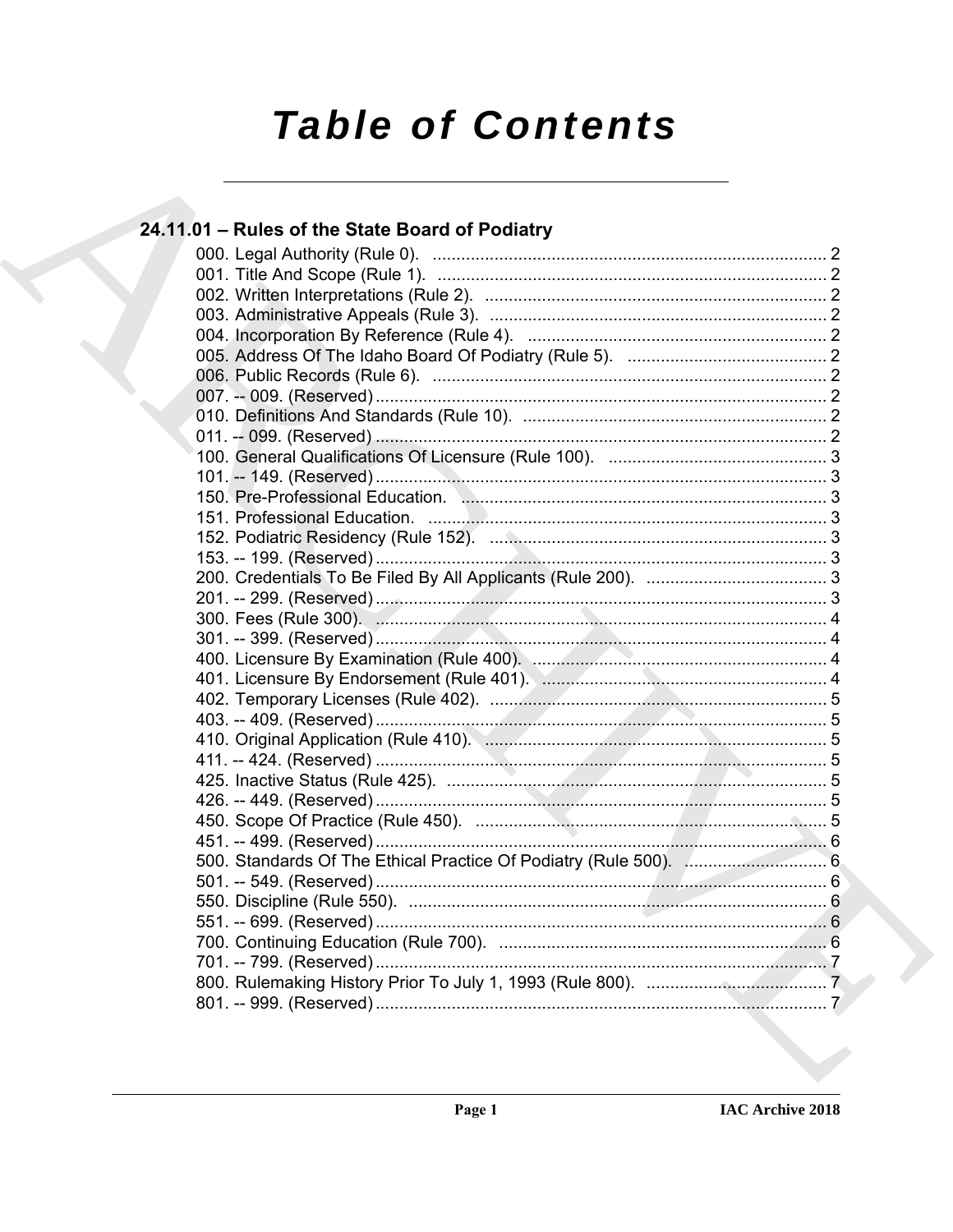# **Table of Contents**

| 24.11.01 - Rules of the State Board of Podiatry |  |
|-------------------------------------------------|--|
|                                                 |  |
|                                                 |  |
|                                                 |  |
|                                                 |  |
|                                                 |  |
|                                                 |  |
|                                                 |  |
|                                                 |  |
|                                                 |  |
|                                                 |  |
|                                                 |  |
|                                                 |  |
|                                                 |  |
|                                                 |  |
|                                                 |  |
|                                                 |  |
|                                                 |  |
|                                                 |  |
|                                                 |  |
|                                                 |  |
|                                                 |  |
|                                                 |  |
|                                                 |  |
|                                                 |  |
|                                                 |  |
|                                                 |  |
|                                                 |  |
|                                                 |  |
|                                                 |  |
|                                                 |  |
|                                                 |  |
|                                                 |  |
|                                                 |  |
|                                                 |  |
|                                                 |  |
|                                                 |  |
|                                                 |  |
|                                                 |  |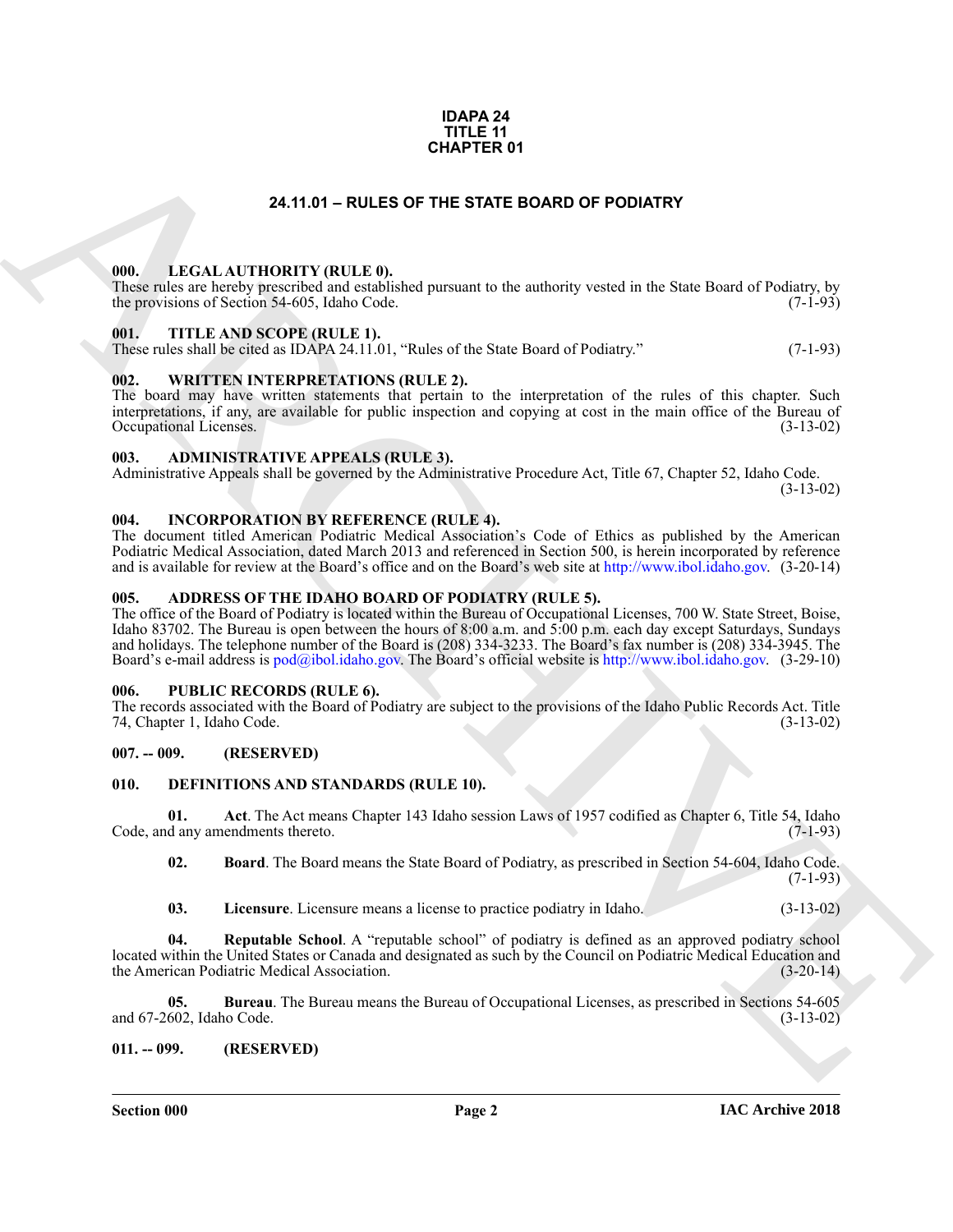#### **IDAPA 24 TITLE 11 CHAPTER 01**

#### **24.11.01 – RULES OF THE STATE BOARD OF PODIATRY**

#### <span id="page-1-20"></span><span id="page-1-1"></span><span id="page-1-0"></span>**000. LEGAL AUTHORITY (RULE 0).**

These rules are hereby prescribed and established pursuant to the authority vested in the State Board of Podiatry, by the provisions of Section 54-605, Idaho Code. (7-1-93)

#### <span id="page-1-22"></span><span id="page-1-2"></span>**001. TITLE AND SCOPE (RULE 1).**

These rules shall be cited as IDAPA 24.11.01, "Rules of the State Board of Podiatry." (7-1-93)

#### <span id="page-1-23"></span><span id="page-1-3"></span>**002. WRITTEN INTERPRETATIONS (RULE 2).**

The board may have written statements that pertain to the interpretation of the rules of this chapter. Such interpretations, if any, are available for public inspection and copying at cost in the main office of the Bureau of Occupational Licenses. (3-13-02) Occupational Licenses.

#### <span id="page-1-12"></span><span id="page-1-4"></span>**003. ADMINISTRATIVE APPEALS (RULE 3).**

Administrative Appeals shall be governed by the Administrative Procedure Act, Title 67, Chapter 52, Idaho Code.

(3-13-02)

#### <span id="page-1-19"></span><span id="page-1-5"></span>**004. INCORPORATION BY REFERENCE (RULE 4).**

The document titled American Podiatric Medical Association's Code of Ethics as published by the American Podiatric Medical Association, dated March 2013 and referenced in Section 500, is herein incorporated by reference and is available for review at the Board's office and on the Board's web site at http://www.ibol.idaho.gov. (3-20-14)

#### <span id="page-1-11"></span><span id="page-1-6"></span>**005. ADDRESS OF THE IDAHO BOARD OF PODIATRY (RULE 5).**

**CHAPTER 01**<br> **CALIATIONITY (BULLE)**<br> **CALIATIONITY (BULLE)**<br> **CALIATIONITY (BULLE)**<br> **CALIATIONITY (BULLE)**<br> **CALIATIONITY (BULLE)**<br> **CALIC TRIENTS AND SCOPE (BULLE)**<br> **CALIC TRIENTS AND SCOPE (BULLE)**<br> **CALIC TRIENTS AN** The office of the Board of Podiatry is located within the Bureau of Occupational Licenses, 700 W. State Street, Boise, Idaho 83702. The Bureau is open between the hours of 8:00 a.m. and 5:00 p.m. each day except Saturdays, Sundays and holidays. The telephone number of the Board is (208) 334-3233. The Board's fax number is (208) 334-3945. The Board's e-mail address is pod@ibol.idaho.gov. The Board's official website is http://www.ibol.idaho.gov. (3-29-10)

#### <span id="page-1-21"></span><span id="page-1-7"></span>**006. PUBLIC RECORDS (RULE 6).**

The records associated with the Board of Podiatry are subject to the provisions of the Idaho Public Records Act. Title 74, Chapter 1, Idaho Code. (3-13-02)

#### <span id="page-1-8"></span>**007. -- 009. (RESERVED)**

#### <span id="page-1-13"></span><span id="page-1-9"></span>**010. DEFINITIONS AND STANDARDS (RULE 10).**

**01.** Act. The Act means Chapter 143 Idaho session Laws of 1957 codified as Chapter 6, Title 54, Idaho d any amendments thereto. (7-1-93) Code, and any amendments thereto.

<span id="page-1-15"></span><span id="page-1-14"></span>**02. Board**. The Board means the State Board of Podiatry, as prescribed in Section 54-604, Idaho Code. (7-1-93)

<span id="page-1-18"></span><span id="page-1-17"></span><span id="page-1-16"></span>**03. Licensure**. Licensure means a license to practice podiatry in Idaho. (3-13-02)

**04. Reputable School**. A "reputable school" of podiatry is defined as an approved podiatry school located within the United States or Canada and designated as such by the Council on Podiatric Medical Education and the American Podiatric Medical Association. (3-20-14)

**05. Bureau**. The Bureau means the Bureau of Occupational Licenses, as prescribed in Sections 54-605 602, Idaho Code. (3-13-02) and 67-2602, Idaho Code.

#### <span id="page-1-10"></span>**011. -- 099. (RESERVED)**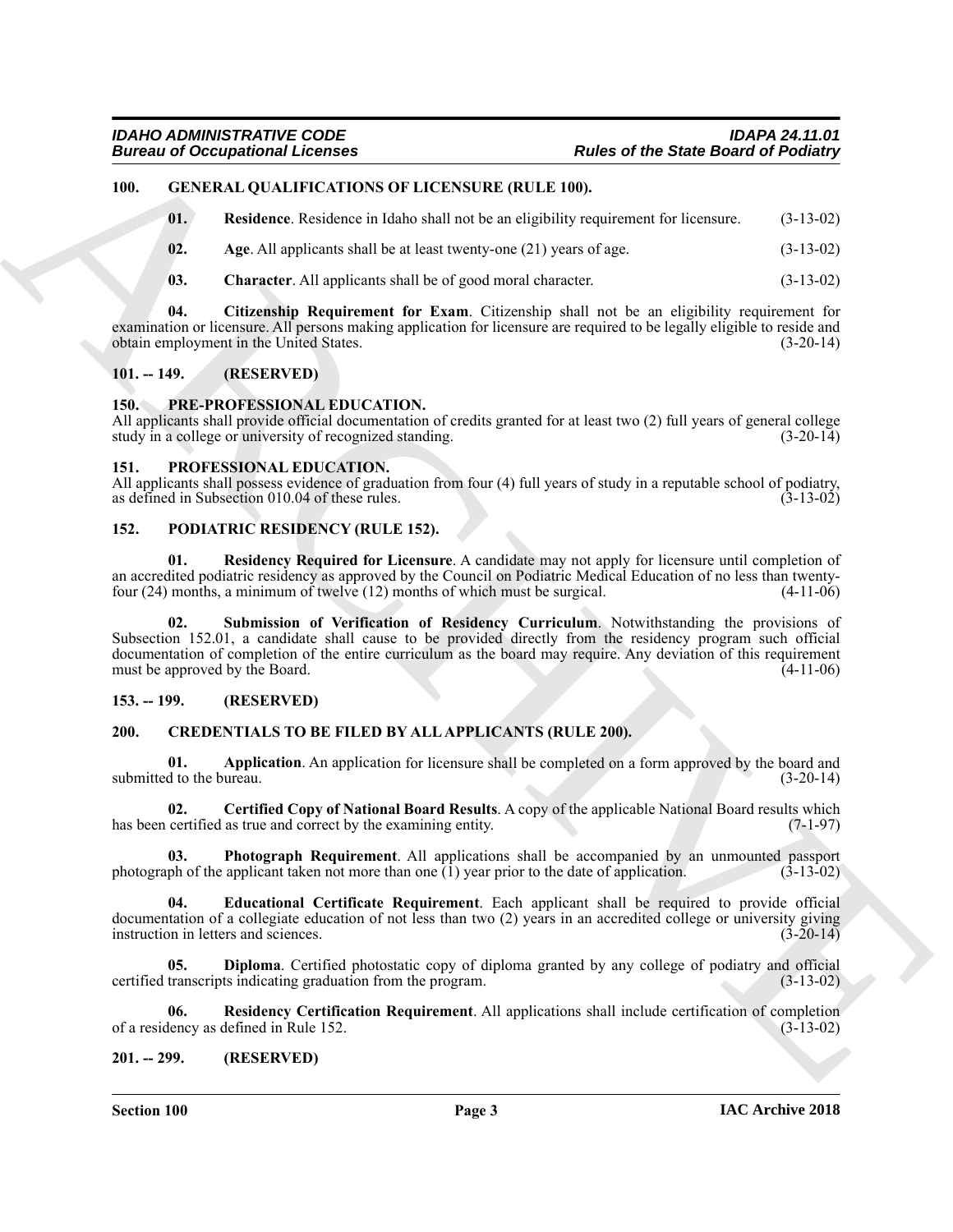#### <span id="page-2-0"></span>**100. GENERAL QUALIFICATIONS OF LICENSURE (RULE 100).**

<span id="page-2-19"></span><span id="page-2-15"></span>**01. Residence**. Residence in Idaho shall not be an eligibility requirement for licensure. (3-13-02)

- <span id="page-2-16"></span>**02.** Age. All applicants shall be at least twenty-one (21) years of age.  $(3-13-02)$
- <span id="page-2-18"></span><span id="page-2-17"></span>**03. Character**. All applicants shall be of good moral character. (3-13-02)

**04. Citizenship Requirement for Exam**. Citizenship shall not be an eligibility requirement for examination or licensure. All persons making application for licensure are required to be legally eligible to reside and obtain employment in the United States. (3-20-14)

#### <span id="page-2-1"></span>**101. -- 149. (RESERVED)**

#### <span id="page-2-23"></span><span id="page-2-2"></span>**150. PRE-PROFESSIONAL EDUCATION.**

All applicants shall provide official documentation of credits granted for at least two (2) full years of general college study in a college or university of recognized standing. (3-20-14) study in a college or university of recognized standing.

#### <span id="page-2-24"></span><span id="page-2-3"></span>**151. PROFESSIONAL EDUCATION.**

All applicants shall possess evidence of graduation from four (4) full years of study in a reputable school of podiatry, as defined in Subsection 010.04 of these rules. (3-13-02)

#### <span id="page-2-20"></span><span id="page-2-4"></span>**152. PODIATRIC RESIDENCY (RULE 152).**

<span id="page-2-22"></span><span id="page-2-21"></span>**01. Residency Required for Licensure**. A candidate may not apply for licensure until completion of an accredited podiatric residency as approved by the Council on Podiatric Medical Education of no less than twentyfour (24) months, a minimum of twelve (12) months of which must be surgical. (4-11-06)

**Example 21**<br> **Example 21**<br> **Example 21**<br> **Example 21**<br> **Example 21**<br> **Example 21**<br> **Example 21**<br> **Example 21**<br> **Example 21**<br> **Example 21**<br> **Example 21**<br> **Example 21**<br> **Example 21**<br> **Example 21**<br> **Example 21**<br> **Example 21 02. Submission of Verification of Residency Curriculum**. Notwithstanding the provisions of Subsection 152.01, a candidate shall cause to be provided directly from the residency program such official documentation of completion of the entire curriculum as the board may require. Any deviation of this requirement must be approved by the Board. (4-11-06)

#### <span id="page-2-5"></span>**153. -- 199. (RESERVED)**

#### <span id="page-2-8"></span><span id="page-2-6"></span>**200. CREDENTIALS TO BE FILED BY ALL APPLICANTS (RULE 200).**

<span id="page-2-9"></span>**01. Application**. An application for licensure shall be completed on a form approved by the board and submitted to the bureau. (3-20-14)

<span id="page-2-10"></span>**02. Certified Copy of National Board Results**. A copy of the applicable National Board results which has been certified as true and correct by the examining entity. (7-1-97)

<span id="page-2-13"></span>**03. Photograph Requirement**. All applications shall be accompanied by an unmounted passport photograph of the applicant taken not more than one  $(1)$  year prior to the date of application.  $(3-13-02)$ 

<span id="page-2-12"></span>**04. Educational Certificate Requirement**. Each applicant shall be required to provide official documentation of a collegiate education of not less than two (2) years in an accredited college or university giving instruction in letters and sciences. (3-20-14) instruction in letters and sciences.

<span id="page-2-11"></span>**05. Diploma**. Certified photostatic copy of diploma granted by any college of podiatry and official certified transcripts indicating graduation from the program. (3-13-02)

<span id="page-2-14"></span>**06. Residency Certification Requirement**. All applications shall include certification of completion of a residency as defined in Rule 152.

#### <span id="page-2-7"></span>**201. -- 299. (RESERVED)**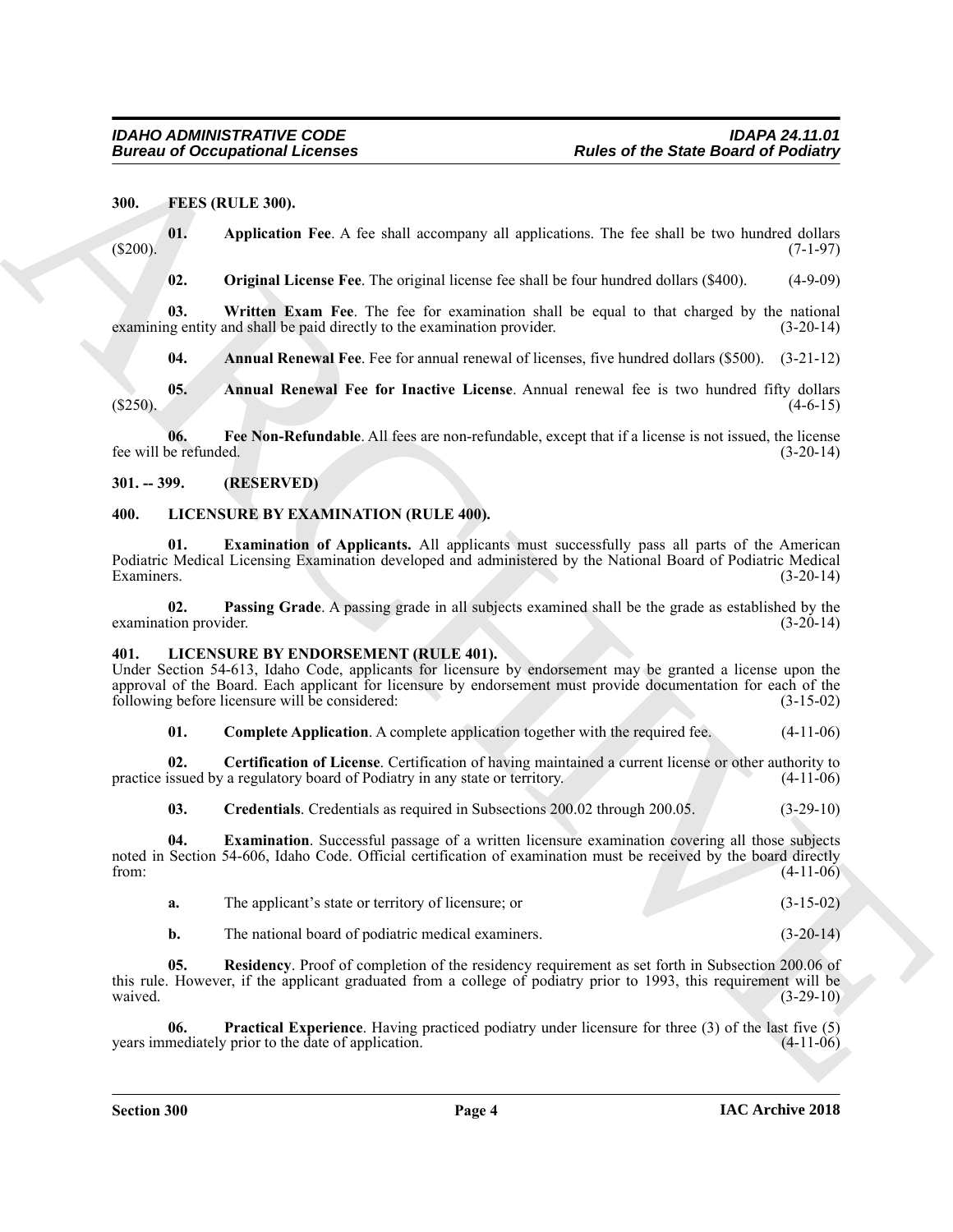#### <span id="page-3-4"></span><span id="page-3-0"></span>**300. FEES (RULE 300).**

**01. Application Fee**. A fee shall accompany all applications. The fee shall be two hundred dollars (\$200). (7-1-97)

<span id="page-3-10"></span><span id="page-3-9"></span><span id="page-3-7"></span>**02. Original License Fee**. The original license fee shall be four hundred dollars (\$400). (4-9-09)

**03. Written Exam Fee**. The fee for examination shall be equal to that charged by the national examining entity and shall be paid directly to the examination provider. (3-20-14)

<span id="page-3-8"></span><span id="page-3-6"></span><span id="page-3-5"></span>**04. Annual Renewal Fee**. Fee for annual renewal of licenses, five hundred dollars (\$500). (3-21-12)

**05. Annual Renewal Fee for Inactive License**. Annual renewal fee is two hundred fifty dollars  $(4-6-15)$ 

**06. Fee Non-Refundable**. All fees are non-refundable, except that if a license is not issued, the license fee will be refunded. (3-20-14)

<span id="page-3-1"></span>**301. -- 399. (RESERVED)**

#### <span id="page-3-18"></span><span id="page-3-2"></span>**400. LICENSURE BY EXAMINATION (RULE 400).**

<span id="page-3-19"></span>**01. Examination of Applicants.** All applicants must successfully pass all parts of the American Podiatric Medical Licensing Examination developed and administered by the National Board of Podiatric Medical Examiners. (3-20-14)

<span id="page-3-20"></span>**02. Passing Grade**. A passing grade in all subjects examined shall be the grade as established by the examination provider.

#### <span id="page-3-11"></span><span id="page-3-3"></span>**401. LICENSURE BY ENDORSEMENT (RULE 401).**

Under Section 54-613, Idaho Code, applicants for licensure by endorsement may be granted a license upon the approval of the Board. Each applicant for licensure by endorsement must provide documentation for each of the following before licensure will be considered: (3-15-02)

<span id="page-3-13"></span><span id="page-3-12"></span>**01.** Complete Application. A complete application together with the required fee.  $(4-11-06)$ 

**02. Certification of License**. Certification of having maintained a current license or other authority to practice issued by a regulatory board of Podiatry in any state or territory. (4-11-06)

<span id="page-3-15"></span><span id="page-3-14"></span>**03. Credentials**. Credentials as required in Subsections 200.02 through 200.05. (3-29-10)

**Eurosis of Occupational Licenses**<br> **Pluste of the Shade Based of Positiany**<br>
19. **C.2** (11.1 1969)<br>
19. **C.2** Original License Park A is shall economore, all epictrains a. The shall be two dual be two dual behavior (31.1 **04. Examination**. Successful passage of a written licensure examination covering all those subjects noted in Section 54-606, Idaho Code. Official certification of examination must be received by the board directly from:  $(4-11-06)$ 

| The applicant's state or territory of licensure; or |  | $(3-15-02)$ |
|-----------------------------------------------------|--|-------------|
|-----------------------------------------------------|--|-------------|

<span id="page-3-17"></span><span id="page-3-16"></span>**b.** The national board of podiatric medical examiners. (3-20-14)

**05. Residency**. Proof of completion of the residency requirement as set forth in Subsection 200.06 of this rule. However, if the applicant graduated from a college of podiatry prior to 1993, this requirement will be waived.  $(3-29-10)$ 

**06. Practical Experience**. Having practiced podiatry under licensure for three (3) of the last five (5) years immediately prior to the date of application.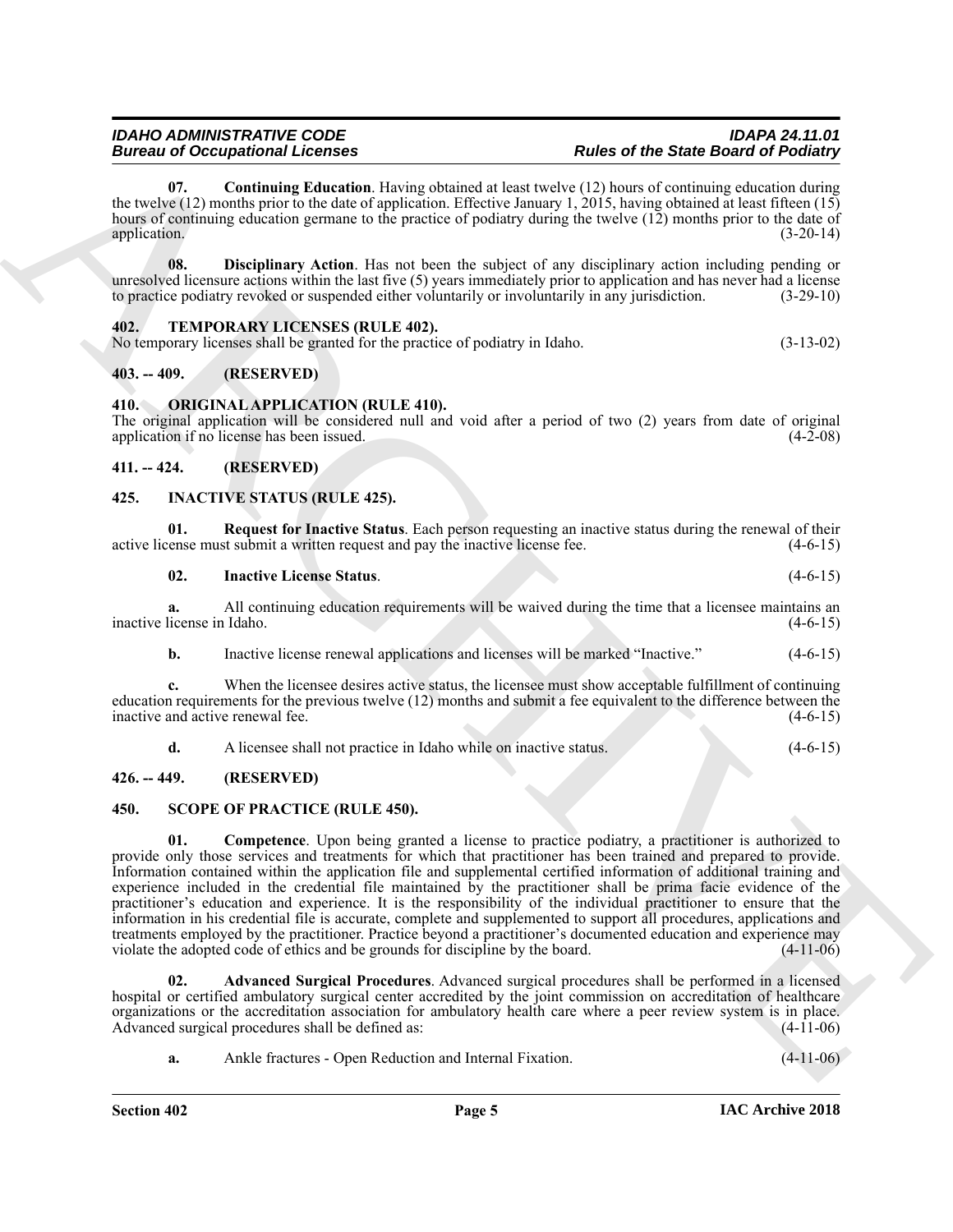### **Bureau of Occupational Licenses**

<span id="page-4-10"></span>**07. Continuing Education**. Having obtained at least twelve (12) hours of continuing education during the twelve (12) months prior to the date of application. Effective January 1,  $2015$ , having obtained at least fifteen (15) hours of continuing education germane to the practice of podiatry during the twelve (12) months prior to the date of application. (3-20-14) application. (3-20-14)

<span id="page-4-11"></span>**08. Disciplinary Action**. Has not been the subject of any disciplinary action including pending or unresolved licensure actions within the last five (5) years immediately prior to application and has never had a license to practice podiatry revoked or suspended either voluntarily or involuntarily in any jurisdiction. (3-29-10)

#### <span id="page-4-16"></span><span id="page-4-0"></span>**402. TEMPORARY LICENSES (RULE 402).**

No temporary licenses shall be granted for the practice of podiatry in Idaho. (3-13-02)

#### <span id="page-4-1"></span>**403. -- 409. (RESERVED)**

#### <span id="page-4-12"></span><span id="page-4-2"></span>**410. ORIGINAL APPLICATION (RULE 410).**

The original application will be considered null and void after a period of two (2) years from date of original application if no license has been issued. application if no license has been issued.

#### <span id="page-4-3"></span>**411. -- 424. (RESERVED)**

#### <span id="page-4-7"></span><span id="page-4-4"></span>**425. INACTIVE STATUS (RULE 425).**

**01. Request for Inactive Status**. Each person requesting an inactive status during the renewal of their active license must submit a written request and pay the inactive license fee. (4-6-15)

#### <span id="page-4-9"></span><span id="page-4-8"></span>**02. Inactive License Status**. (4-6-15)

**a.** All continuing education requirements will be waived during the time that a licensee maintains an inactive license in Idaho. (4-6-15)

**b.** Inactive license renewal applications and licenses will be marked "Inactive." (4-6-15)

**c.** When the licensee desires active status, the licensee must show acceptable fulfillment of continuing education requirements for the previous twelve (12) months and submit a fee equivalent to the difference between the inactive and active renewal fee. (4-6-15)

<span id="page-4-15"></span><span id="page-4-13"></span>**d.** A licensee shall not practice in Idaho while on inactive status. (4-6-15)

#### <span id="page-4-5"></span>**426. -- 449. (RESERVED)**

#### <span id="page-4-6"></span>**450. SCOPE OF PRACTICE (RULE 450).**

Bureau of Comparison's Licenses<br>
Records the first of the State Bureau of the State Bureau of the State Bureau of the State Bureau of the State Bureau of the State Bureau of the State Bureau of the State Bureau of the Sta **01. Competence**. Upon being granted a license to practice podiatry, a practitioner is authorized to provide only those services and treatments for which that practitioner has been trained and prepared to provide. Information contained within the application file and supplemental certified information of additional training and experience included in the credential file maintained by the practitioner shall be prima facie evidence of the practitioner's education and experience. It is the responsibility of the individual practitioner to ensure that the information in his credential file is accurate, complete and supplemented to support all procedures, applications and treatments employed by the practitioner. Practice beyond a practitioner's documented education and experience may<br>violate the adopted code of ethics and be grounds for discipline by the board. (4-11-06) violate the adopted code of ethics and be grounds for discipline by the board.

**02. Advanced Surgical Procedures**. Advanced surgical procedures shall be performed in a licensed hospital or certified ambulatory surgical center accredited by the joint commission on accreditation of healthcare organizations or the accreditation association for ambulatory health care where a peer review system is in place.<br>Advanced surgical procedures shall be defined as: (4-11-06) Advanced surgical procedures shall be defined as:

<span id="page-4-14"></span>**a.** Ankle fractures - Open Reduction and Internal Fixation. (4-11-06) **4-11-06**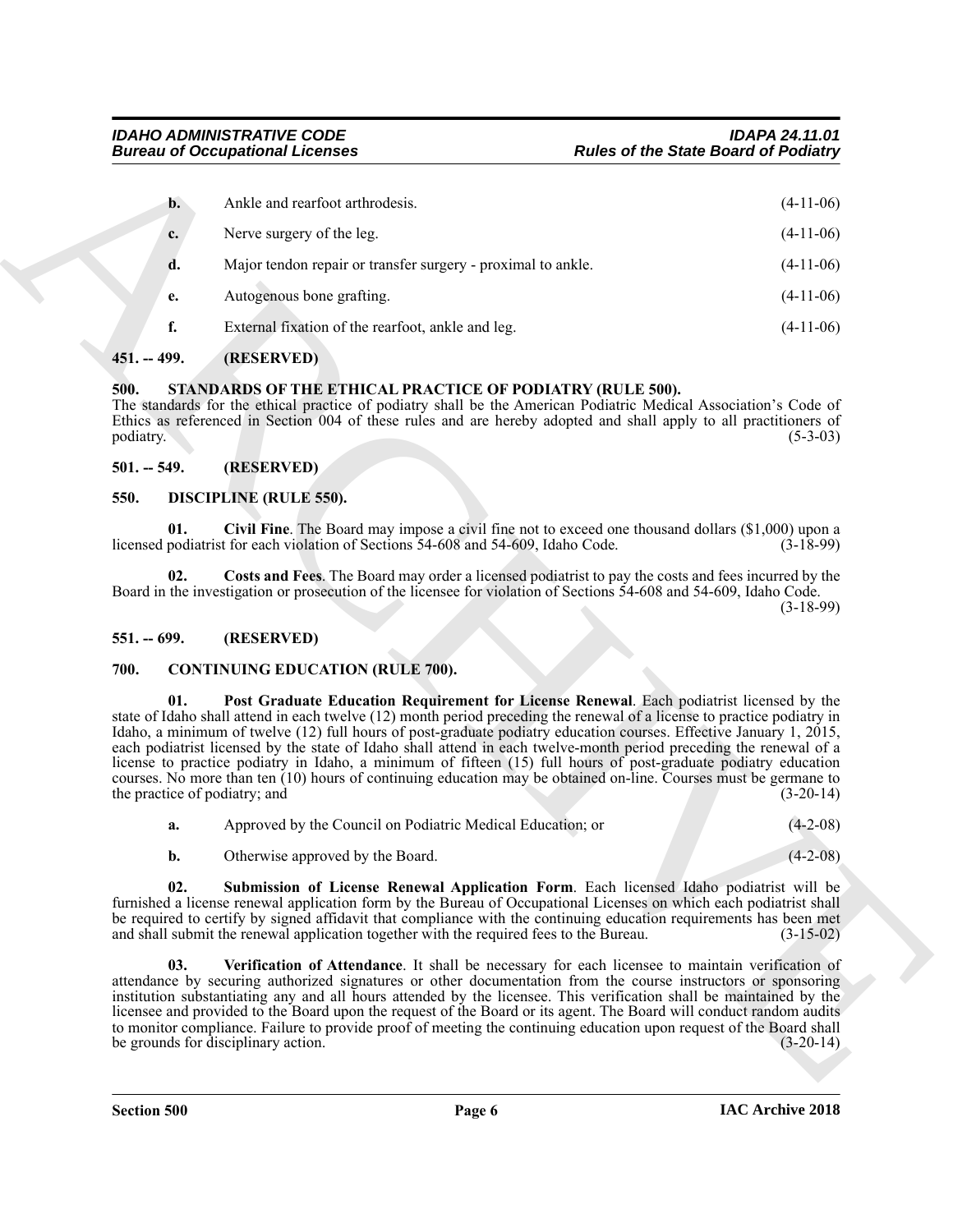| <b>Bureau of Occupational Licenses</b> |                                                                                                                                                                                                                                                                                                                                                                                                                                                                                                                                                                                                                                             | <b>Rules of the State Board of Podiatry</b>                                                                        |
|----------------------------------------|---------------------------------------------------------------------------------------------------------------------------------------------------------------------------------------------------------------------------------------------------------------------------------------------------------------------------------------------------------------------------------------------------------------------------------------------------------------------------------------------------------------------------------------------------------------------------------------------------------------------------------------------|--------------------------------------------------------------------------------------------------------------------|
| $\mathbf{b}$ .                         | Ankle and rearfoot arthrodesis.                                                                                                                                                                                                                                                                                                                                                                                                                                                                                                                                                                                                             | $(4-11-06)$                                                                                                        |
| c.                                     | Nerve surgery of the leg.                                                                                                                                                                                                                                                                                                                                                                                                                                                                                                                                                                                                                   | $(4-11-06)$                                                                                                        |
| d.                                     | Major tendon repair or transfer surgery - proximal to ankle.                                                                                                                                                                                                                                                                                                                                                                                                                                                                                                                                                                                | $(4-11-06)$                                                                                                        |
| e.                                     | Autogenous bone grafting.                                                                                                                                                                                                                                                                                                                                                                                                                                                                                                                                                                                                                   | $(4-11-06)$                                                                                                        |
| f.                                     | External fixation of the rearfoot, ankle and leg.                                                                                                                                                                                                                                                                                                                                                                                                                                                                                                                                                                                           | $(4-11-06)$                                                                                                        |
| $451. - 499.$                          | (RESERVED)                                                                                                                                                                                                                                                                                                                                                                                                                                                                                                                                                                                                                                  |                                                                                                                    |
| 500.<br>podiatry.                      | STANDARDS OF THE ETHICAL PRACTICE OF PODIATRY (RULE 500).<br>The standards for the ethical practice of podiatry shall be the American Podiatric Medical Association's Code of<br>Ethics as referenced in Section 004 of these rules and are hereby adopted and shall apply to all practitioners of                                                                                                                                                                                                                                                                                                                                          | $(5-3-03)$                                                                                                         |
| $501. - 549.$                          | (RESERVED)                                                                                                                                                                                                                                                                                                                                                                                                                                                                                                                                                                                                                                  |                                                                                                                    |
| 550.                                   | <b>DISCIPLINE (RULE 550).</b>                                                                                                                                                                                                                                                                                                                                                                                                                                                                                                                                                                                                               |                                                                                                                    |
| 01.                                    | licensed podiatrist for each violation of Sections 54-608 and 54-609, Idaho Code.                                                                                                                                                                                                                                                                                                                                                                                                                                                                                                                                                           | Civil Fine. The Board may impose a civil fine not to exceed one thousand dollars $(\$1,000)$ upon a<br>$(3-18-99)$ |
| 02.                                    | Board in the investigation or prosecution of the licensee for violation of Sections 54-608 and 54-609, Idaho Code.                                                                                                                                                                                                                                                                                                                                                                                                                                                                                                                          | Costs and Fees. The Board may order a licensed podiatrist to pay the costs and fees incurred by the<br>$(3-18-99)$ |
| $551. - 699.$                          | (RESERVED)                                                                                                                                                                                                                                                                                                                                                                                                                                                                                                                                                                                                                                  |                                                                                                                    |
| 700.                                   | <b>CONTINUING EDUCATION (RULE 700).</b>                                                                                                                                                                                                                                                                                                                                                                                                                                                                                                                                                                                                     |                                                                                                                    |
| 01.                                    | state of Idaho shall attend in each twelve (12) month period preceding the renewal of a license to practice podiatry in<br>Idaho, a minimum of twelve (12) full hours of post-graduate podiatry education courses. Effective January 1, 2015,<br>each podiatrist licensed by the state of Idaho shall attend in each twelve-month period preceding the renewal of a<br>license to practice podiatry in Idaho, a minimum of fifteen (15) full hours of post-graduate podiatry education<br>courses. No more than ten (10) hours of continuing education may be obtained on-line. Courses must be germane to<br>the practice of podiatry; and | Post Graduate Education Requirement for License Renewal. Each podiatrist licensed by the<br>$(3-20-14)$            |
| a.                                     | Approved by the Council on Podiatric Medical Education; or                                                                                                                                                                                                                                                                                                                                                                                                                                                                                                                                                                                  | $(4-2-08)$                                                                                                         |
| b.                                     | Otherwise approved by the Board.                                                                                                                                                                                                                                                                                                                                                                                                                                                                                                                                                                                                            | $(4-2-08)$                                                                                                         |
| 02.                                    | furnished a license renewal application form by the Bureau of Occupational Licenses on which each podiatrist shall<br>be required to certify by signed affidavit that compliance with the continuing education requirements has been met<br>and shall submit the renewal application together with the required fees to the Bureau.                                                                                                                                                                                                                                                                                                         | Submission of License Renewal Application Form. Each licensed Idaho podiatrist will be<br>$(3-15-02)$              |
| 03.                                    | attendance by securing authorized signatures or other documentation from the course instructors or sponsoring<br>institution substantiating any and all hours attended by the licensee. This verification shall be maintained by the<br>licensee and provided to the Board upon the request of the Board or its agent. The Board will conduct random audits<br>to monitor compliance. Failure to provide proof of meeting the continuing education upon request of the Board shall<br>be grounds for disciplinary action.                                                                                                                   | Verification of Attendance. It shall be necessary for each licensee to maintain verification of<br>$(3-20-14)$     |
|                                        |                                                                                                                                                                                                                                                                                                                                                                                                                                                                                                                                                                                                                                             |                                                                                                                    |

### <span id="page-5-0"></span>**451. -- 499. (RESERVED)**

#### <span id="page-5-13"></span><span id="page-5-1"></span>**500. STANDARDS OF THE ETHICAL PRACTICE OF PODIATRY (RULE 500).**

#### <span id="page-5-12"></span><span id="page-5-11"></span><span id="page-5-10"></span><span id="page-5-3"></span><span id="page-5-2"></span>**550. DISCIPLINE (RULE 550).**

#### <span id="page-5-4"></span>**551. -- 699. (RESERVED)**

#### <span id="page-5-7"></span><span id="page-5-6"></span><span id="page-5-5"></span>**700. CONTINUING EDUCATION (RULE 700).**

<span id="page-5-9"></span><span id="page-5-8"></span>

| a. | Approved by the Council on Podiatric Medical Education; or | $(4-2-08)$ |
|----|------------------------------------------------------------|------------|
|----|------------------------------------------------------------|------------|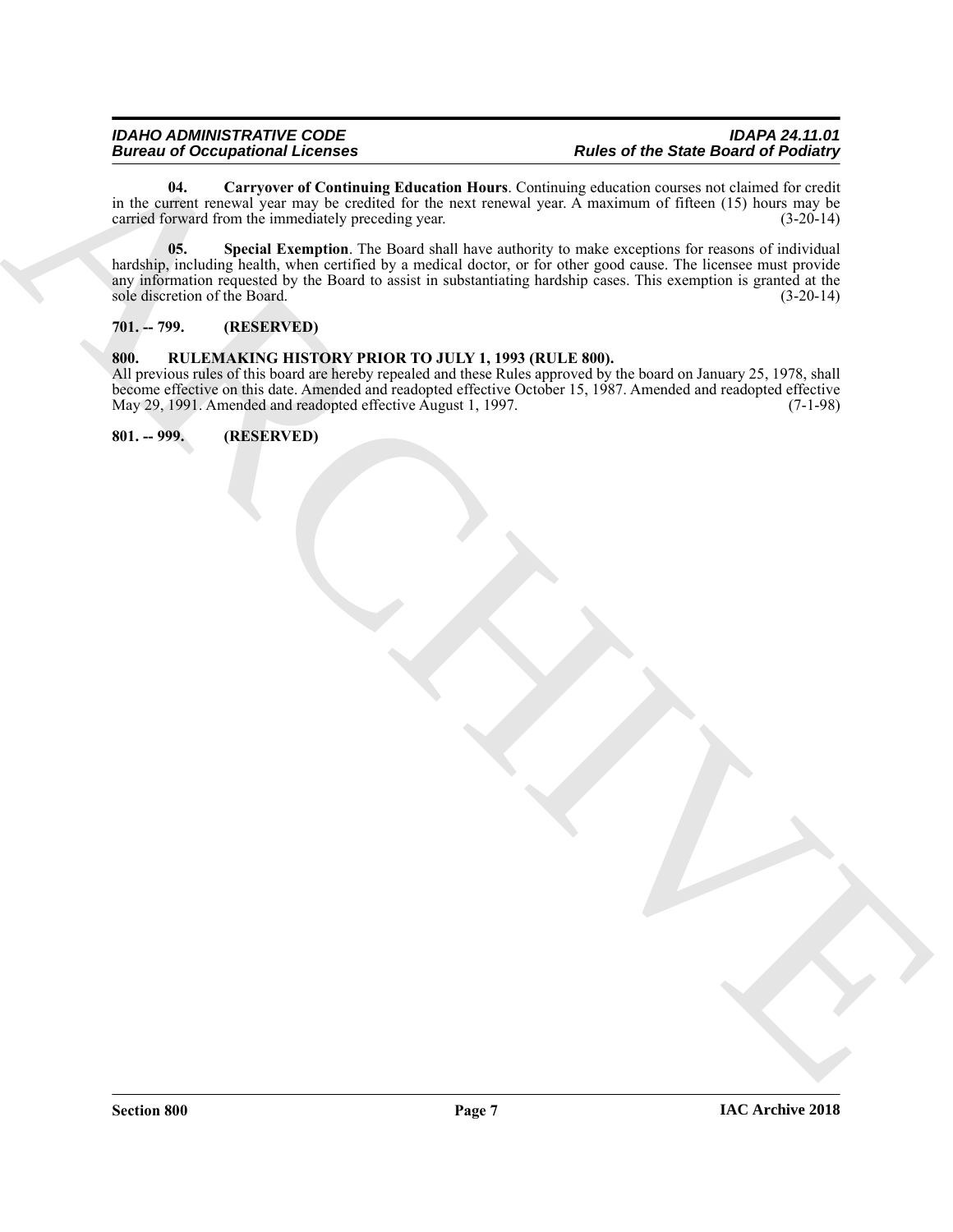<span id="page-6-4"></span><span id="page-6-3"></span>**04. Carryover of Continuing Education Hours**. Continuing education courses not claimed for credit in the current renewal year may be credited for the next renewal year. A maximum of fifteen (15) hours may be carried forward from the immediately preceding year. (3-20-14)

Bureau of Decempoint and Containing Mercifies Henry Container and Bureau of the State Based of Politics at the two states that the state of the State Based of Politics at the state of the State Based of Politics and the s **05. Special Exemption**. The Board shall have authority to make exceptions for reasons of individual hardship, including health, when certified by a medical doctor, or for other good cause. The licensee must provide any information requested by the Board to assist in substantiating hardship cases. This exemption is granted at the sole discretion of the Board. (3-20-14) sole discretion of the Board.

#### <span id="page-6-0"></span>**701. -- 799. (RESERVED)**

#### <span id="page-6-1"></span>**800. RULEMAKING HISTORY PRIOR TO JULY 1, 1993 (RULE 800).**

All previous rules of this board are hereby repealed and these Rules approved by the board on January 25, 1978, shall become effective on this date. Amended and readopted effective October 15, 1987. Amended and readopted effective May 29, 1991. Amended and readopted effective August 1, 1997. (7-1-98)

<span id="page-6-2"></span>**801. -- 999. (RESERVED)**